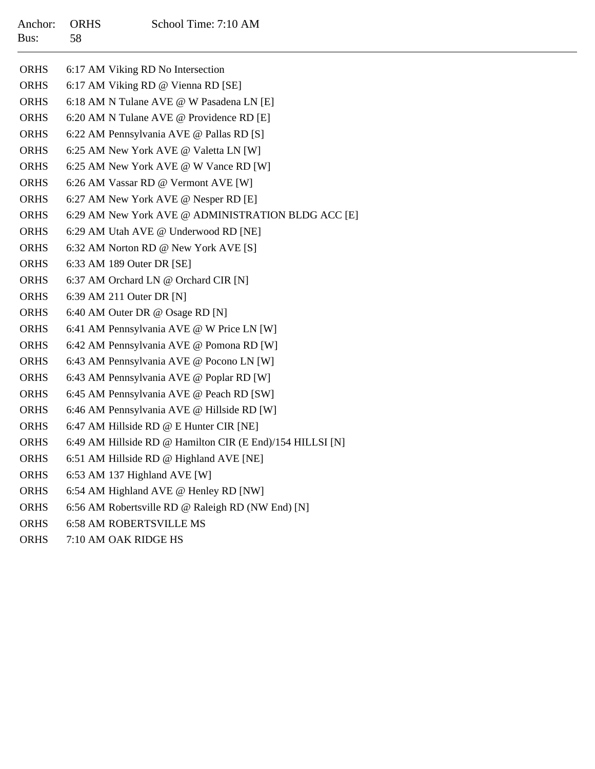| <b>ORHS</b> | 6:17 AM Viking RD No Intersection                         |
|-------------|-----------------------------------------------------------|
| <b>ORHS</b> | 6:17 AM Viking RD @ Vienna RD [SE]                        |
| <b>ORHS</b> | 6:18 AM N Tulane AVE @ W Pasadena LN [E]                  |
| <b>ORHS</b> | 6:20 AM N Tulane AVE @ Providence RD [E]                  |
| <b>ORHS</b> | 6:22 AM Pennsylvania AVE @ Pallas RD [S]                  |
| <b>ORHS</b> | 6:25 AM New York AVE @ Valetta LN [W]                     |
| <b>ORHS</b> | 6:25 AM New York AVE @ W Vance RD [W]                     |
| <b>ORHS</b> | 6:26 AM Vassar RD @ Vermont AVE [W]                       |
| <b>ORHS</b> | 6:27 AM New York AVE @ Nesper RD [E]                      |
| <b>ORHS</b> | 6:29 AM New York AVE @ ADMINISTRATION BLDG ACC [E]        |
| <b>ORHS</b> | 6:29 AM Utah AVE @ Underwood RD [NE]                      |
| <b>ORHS</b> | 6:32 AM Norton RD @ New York AVE [S]                      |
| <b>ORHS</b> | 6:33 AM 189 Outer DR [SE]                                 |
| <b>ORHS</b> | 6:37 AM Orchard LN @ Orchard CIR [N]                      |
| <b>ORHS</b> | 6:39 AM 211 Outer DR [N]                                  |
| <b>ORHS</b> | 6:40 AM Outer DR @ Osage RD [N]                           |
| <b>ORHS</b> | 6:41 AM Pennsylvania AVE @ W Price LN [W]                 |
| <b>ORHS</b> | 6:42 AM Pennsylvania AVE @ Pomona RD [W]                  |
| <b>ORHS</b> | 6:43 AM Pennsylvania AVE @ Pocono LN [W]                  |
| <b>ORHS</b> | 6:43 AM Pennsylvania AVE @ Poplar RD [W]                  |
| <b>ORHS</b> | 6:45 AM Pennsylvania AVE @ Peach RD [SW]                  |
| <b>ORHS</b> | 6:46 AM Pennsylvania AVE @ Hillside RD [W]                |
| <b>ORHS</b> | 6:47 AM Hillside RD @ E Hunter CIR [NE]                   |
| <b>ORHS</b> | 6:49 AM Hillside RD @ Hamilton CIR (E End)/154 HILLSI [N] |
| <b>ORHS</b> | 6:51 AM Hillside RD @ Highland AVE [NE]                   |
| <b>ORHS</b> | 6:53 AM 137 Highland AVE [W]                              |
| <b>ORHS</b> | 6:54 AM Highland AVE @ Henley RD [NW]                     |
| <b>ORHS</b> | 6:56 AM Robertsville RD @ Raleigh RD (NW End) [N]         |
| <b>ORHS</b> | <b>6:58 AM ROBERTSVILLE MS</b>                            |

ORHS7:10 AM OAK RIDGE HS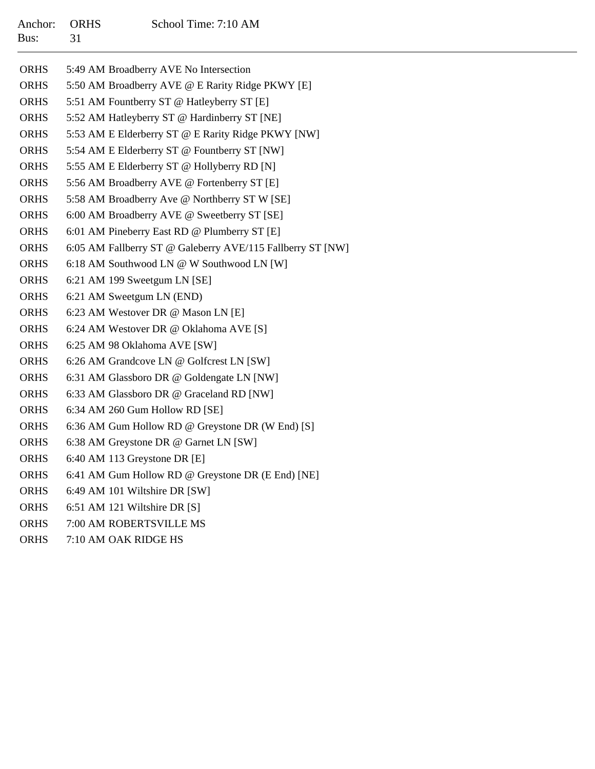| <b>ORHS</b> | 5:49 AM Broadberry AVE No Intersection                     |
|-------------|------------------------------------------------------------|
| <b>ORHS</b> | 5:50 AM Broadberry AVE @ E Rarity Ridge PKWY [E]           |
| <b>ORHS</b> | 5:51 AM Fountberry ST @ Hatleyberry ST [E]                 |
| <b>ORHS</b> | 5:52 AM Hatleyberry ST @ Hardinberry ST [NE]               |
| <b>ORHS</b> | 5:53 AM E Elderberry ST @ E Rarity Ridge PKWY [NW]         |
| <b>ORHS</b> | 5:54 AM E Elderberry ST @ Fountberry ST [NW]               |
| <b>ORHS</b> | 5:55 AM E Elderberry ST @ Hollyberry RD [N]                |
| <b>ORHS</b> | 5:56 AM Broadberry AVE @ Fortenberry ST [E]                |
| <b>ORHS</b> | 5:58 AM Broadberry Ave @ Northberry ST W [SE]              |
| <b>ORHS</b> | 6:00 AM Broadberry AVE @ Sweetberry ST [SE]                |
| <b>ORHS</b> | 6:01 AM Pineberry East RD @ Plumberry ST [E]               |
| <b>ORHS</b> | 6:05 AM Fallberry ST @ Galeberry AVE/115 Fallberry ST [NW] |
| <b>ORHS</b> | 6:18 AM Southwood LN @ W Southwood LN [W]                  |
| <b>ORHS</b> | 6:21 AM 199 Sweetgum LN [SE]                               |
| <b>ORHS</b> | 6:21 AM Sweetgum LN (END)                                  |
| <b>ORHS</b> | 6:23 AM Westover DR @ Mason LN [E]                         |
| <b>ORHS</b> | 6:24 AM Westover DR @ Oklahoma AVE [S]                     |
| <b>ORHS</b> | 6:25 AM 98 Oklahoma AVE [SW]                               |
| <b>ORHS</b> | 6:26 AM Grandcove LN @ Golfcrest LN [SW]                   |
| <b>ORHS</b> | 6:31 AM Glassboro DR @ Goldengate LN [NW]                  |
| <b>ORHS</b> | 6:33 AM Glassboro DR @ Graceland RD [NW]                   |
| <b>ORHS</b> | 6:34 AM 260 Gum Hollow RD [SE]                             |
| <b>ORHS</b> | 6:36 AM Gum Hollow RD @ Greystone DR (W End) [S]           |
| <b>ORHS</b> | 6:38 AM Greystone DR @ Garnet LN [SW]                      |
| <b>ORHS</b> | 6:40 AM 113 Greystone DR [E]                               |
| <b>ORHS</b> | 6:41 AM Gum Hollow RD @ Greystone DR (E End) [NE]          |
| <b>ORHS</b> | 6:49 AM 101 Wiltshire DR [SW]                              |
| <b>ORHS</b> | 6:51 AM 121 Wiltshire DR [S]                               |
|             |                                                            |

- ORHS7:00 AM ROBERTSVILLE MS
- ORHS7:10 AM OAK RIDGE HS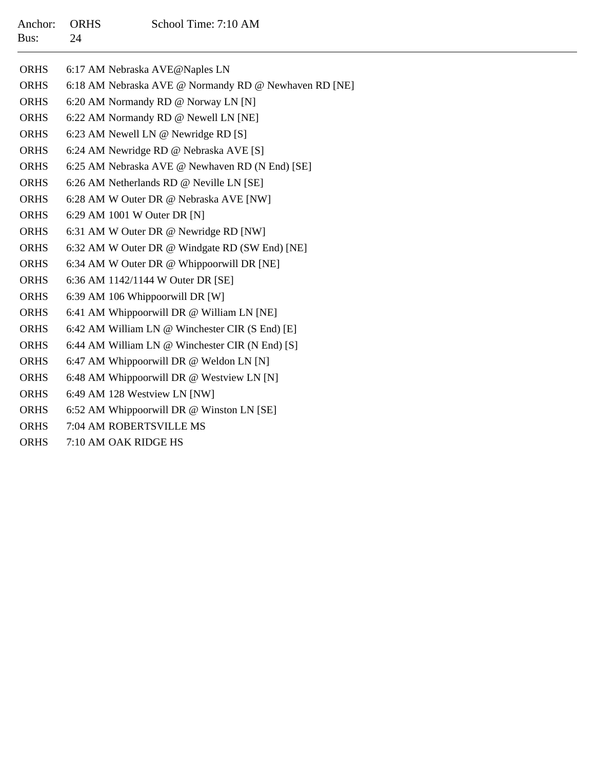#### Anchor:ORHS School Time: 7:10 AM Bus:24

| <b>ORHS</b> | 6:17 AM Nebraska AVE@Naples LN                        |
|-------------|-------------------------------------------------------|
| <b>ORHS</b> | 6:18 AM Nebraska AVE @ Normandy RD @ Newhaven RD [NE] |
| <b>ORHS</b> | 6:20 AM Normandy RD @ Norway LN [N]                   |
| <b>ORHS</b> | 6:22 AM Normandy RD @ Newell LN [NE]                  |
| <b>ORHS</b> | 6:23 AM Newell LN @ Newridge RD [S]                   |
| <b>ORHS</b> | 6:24 AM Newridge RD @ Nebraska AVE [S]                |
| <b>ORHS</b> | 6:25 AM Nebraska AVE @ Newhaven RD (N End) [SE]       |
| <b>ORHS</b> | 6:26 AM Netherlands RD @ Neville LN [SE]              |
| <b>ORHS</b> | 6:28 AM W Outer DR @ Nebraska AVE [NW]                |
| <b>ORHS</b> | 6:29 AM 1001 W Outer DR [N]                           |
| <b>ORHS</b> | 6:31 AM W Outer DR @ Newridge RD [NW]                 |
| <b>ORHS</b> | 6:32 AM W Outer DR @ Windgate RD (SW End) [NE]        |
| <b>ORHS</b> | 6:34 AM W Outer DR @ Whippoorwill DR [NE]             |
| <b>ORHS</b> | 6:36 AM 1142/1144 W Outer DR [SE]                     |
| <b>ORHS</b> | 6:39 AM 106 Whippoorwill DR [W]                       |
| <b>ORHS</b> | 6:41 AM Whippoorwill DR @ William LN [NE]             |
| <b>ORHS</b> | 6:42 AM William LN @ Winchester CIR (S End) [E]       |
| <b>ORHS</b> | 6:44 AM William LN @ Winchester CIR (N End) [S]       |
| <b>ORHS</b> | 6:47 AM Whippoorwill DR @ Weldon LN [N]               |
| <b>ORHS</b> | 6:48 AM Whippoorwill DR @ Westview LN [N]             |
| <b>ORHS</b> | 6:49 AM 128 Westview LN [NW]                          |
| <b>ORHS</b> | 6:52 AM Whippoorwill DR @ Winston LN [SE]             |
| <b>ORHS</b> | 7:04 AM ROBERTSVILLE MS                               |
| <b>ORHS</b> | 7:10 AM OAK RIDGE HS                                  |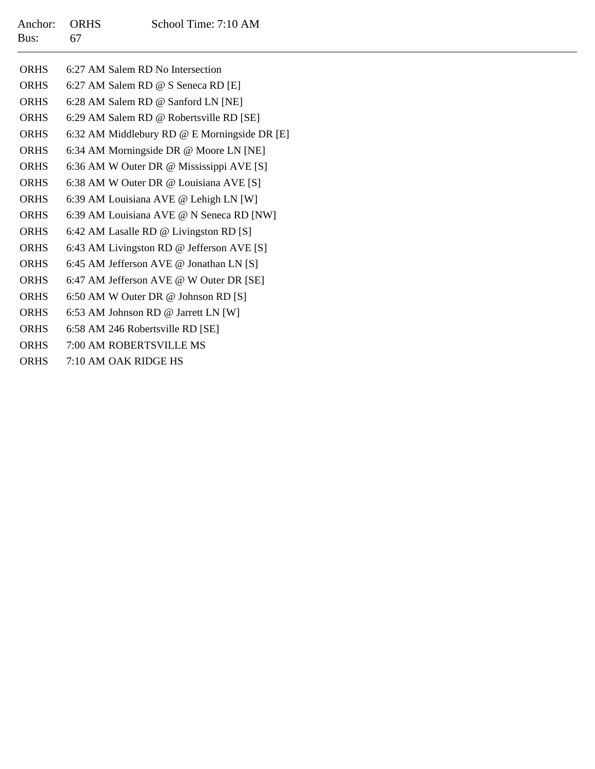# Anchor: ORHS School Time: 7:10 AM Bus:67

| <b>ORHS</b> | 6:27 AM Salem RD No Intersection             |
|-------------|----------------------------------------------|
| <b>ORHS</b> | 6:27 AM Salem RD @ S Seneca RD [E]           |
| <b>ORHS</b> | 6:28 AM Salem RD @ Sanford LN [NE]           |
| <b>ORHS</b> | 6:29 AM Salem RD @ Robertsville RD [SE]      |
| <b>ORHS</b> | 6:32 AM Middlebury RD @ E Morningside DR [E] |
| <b>ORHS</b> | 6:34 AM Morningside DR @ Moore LN [NE]       |
| <b>ORHS</b> | 6:36 AM W Outer DR @ Mississippi AVE [S]     |
| <b>ORHS</b> | 6:38 AM W Outer DR @ Louisiana AVE [S]       |
| <b>ORHS</b> | 6:39 AM Louisiana AVE @ Lehigh LN [W]        |
| <b>ORHS</b> | 6:39 AM Louisiana AVE @ N Seneca RD [NW]     |
| <b>ORHS</b> | 6:42 AM Lasalle RD @ Livingston RD [S]       |
| <b>ORHS</b> | 6:43 AM Livingston RD @ Jefferson AVE [S]    |
| <b>ORHS</b> | 6:45 AM Jefferson AVE @ Jonathan LN [S]      |
| <b>ORHS</b> | 6:47 AM Jefferson AVE @ W Outer DR [SE]      |
| <b>ORHS</b> | 6:50 AM W Outer DR @ Johnson RD [S]          |
| <b>ORHS</b> | 6:53 AM Johnson RD @ Jarrett LN [W]          |
| <b>ORHS</b> | 6:58 AM 246 Robertsville RD [SE]             |
| <b>ORHS</b> | 7:00 AM ROBERTSVILLE MS                      |
| <b>ORHS</b> | 7:10 AM OAK RIDGE HS                         |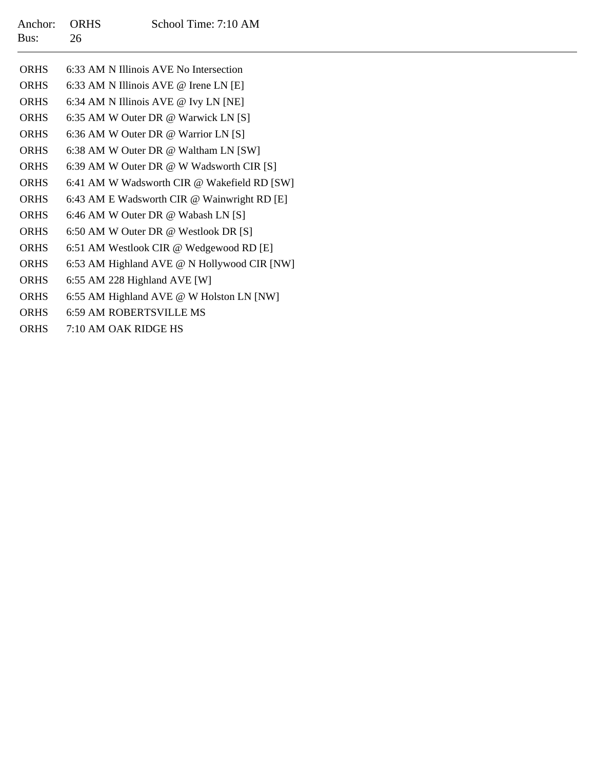| <b>ORHS</b> | 6:33 AM N Illinois AVE No Intersection      |
|-------------|---------------------------------------------|
| <b>ORHS</b> | 6:33 AM N Illinois AVE @ Irene LN [E]       |
| <b>ORHS</b> | 6:34 AM N Illinois AVE @ Ivy LN [NE]        |
| <b>ORHS</b> | 6:35 AM W Outer DR @ Warwick LN [S]         |
| <b>ORHS</b> | 6:36 AM W Outer DR @ Warrior LN [S]         |
| <b>ORHS</b> | 6:38 AM W Outer DR @ Waltham LN [SW]        |
| <b>ORHS</b> | 6:39 AM W Outer DR @ W Wadsworth CIR [S]    |
| <b>ORHS</b> | 6:41 AM W Wadsworth CIR @ Wakefield RD [SW] |
| <b>ORHS</b> | 6:43 AM E Wadsworth CIR @ Wainwright RD [E] |
| <b>ORHS</b> | 6:46 AM W Outer DR @ Wabash LN [S]          |
| <b>ORHS</b> | 6:50 AM W Outer DR @ Westlook DR [S]        |
| <b>ORHS</b> | 6:51 AM Westlook CIR @ Wedgewood RD [E]     |
| <b>ORHS</b> | 6:53 AM Highland AVE @ N Hollywood CIR [NW] |
| <b>ORHS</b> | 6:55 AM 228 Highland AVE [W]                |
| <b>ORHS</b> | 6:55 AM Highland AVE @ W Holston LN [NW]    |
| <b>ORHS</b> | <b>6:59 AM ROBERTSVILLE MS</b>              |
| <b>ORHS</b> | 7:10 AM OAK RIDGE HS                        |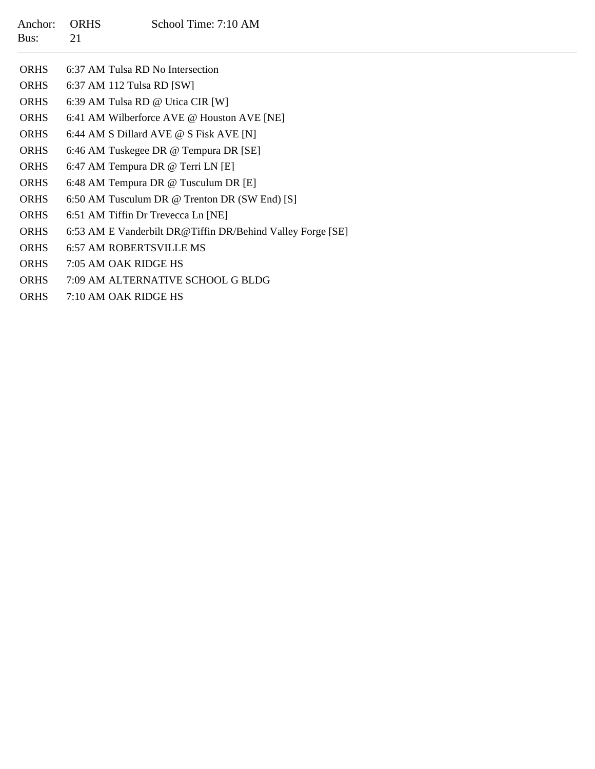| Anchor:<br>Bus: | <b>ORHS</b><br>21         | School Time: 7:10 AM                                       |
|-----------------|---------------------------|------------------------------------------------------------|
| <b>ORHS</b>     |                           | 6:37 AM Tulsa RD No Intersection                           |
| <b>ORHS</b>     | 6:37 AM 112 Tulsa RD [SW] |                                                            |
| <b>ORHS</b>     |                           | 6:39 AM Tulsa RD @ Utica CIR [W]                           |
| <b>ORHS</b>     |                           | 6:41 AM Wilberforce AVE @ Houston AVE [NE]                 |
| <b>ORHS</b>     |                           | 6:44 AM S Dillard AVE @ S Fisk AVE [N]                     |
| <b>ORHS</b>     |                           | 6:46 AM Tuskegee DR @ Tempura DR [SE]                      |
| <b>ORHS</b>     |                           | 6:47 AM Tempura DR @ Terri LN [E]                          |
| <b>ORHS</b>     |                           | 6:48 AM Tempura DR @ Tusculum DR [E]                       |
| <b>ORHS</b>     |                           | 6:50 AM Tusculum DR @ Trenton DR (SW End) [S]              |
| <b>ORHS</b>     |                           | 6:51 AM Tiffin Dr Trevecca Ln [NE]                         |
| <b>ORHS</b>     |                           | 6:53 AM E Vanderbilt DR@Tiffin DR/Behind Valley Forge [SE] |
| <b>ORHS</b>     |                           | <b>6:57 AM ROBERTSVILLE MS</b>                             |
| <b>ORHS</b>     | 7:05 AM OAK RIDGE HS      |                                                            |
| <b>ORHS</b>     |                           | 7:09 AM ALTERNATIVE SCHOOL G BLDG                          |
| <b>ORHS</b>     | 7:10 AM OAK RIDGE HS      |                                                            |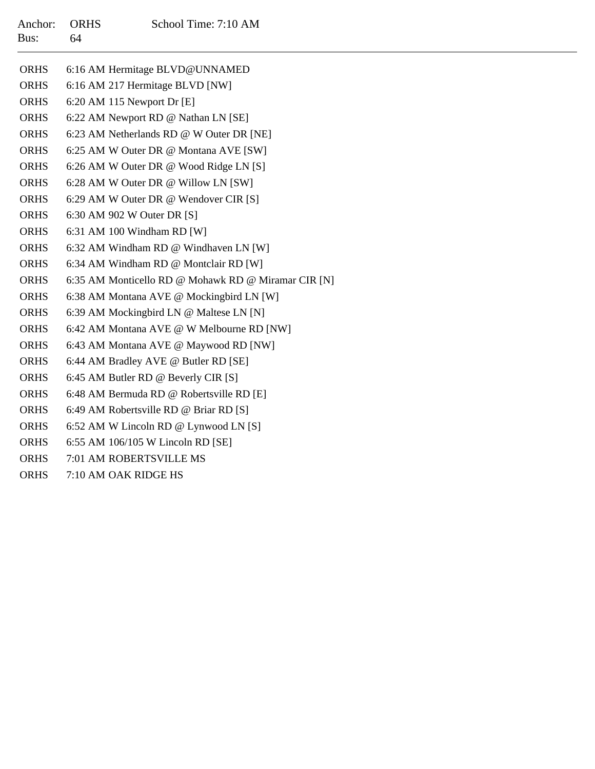| <b>ORHS</b> | 6:16 AM Hermitage BLVD@UNNAMED                      |
|-------------|-----------------------------------------------------|
| <b>ORHS</b> | 6:16 AM 217 Hermitage BLVD [NW]                     |
| <b>ORHS</b> | 6:20 AM 115 Newport Dr [E]                          |
| <b>ORHS</b> | 6:22 AM Newport RD @ Nathan LN [SE]                 |
| <b>ORHS</b> | 6:23 AM Netherlands RD @ W Outer DR [NE]            |
| <b>ORHS</b> | 6:25 AM W Outer DR @ Montana AVE [SW]               |
| <b>ORHS</b> | 6:26 AM W Outer DR @ Wood Ridge LN [S]              |
| <b>ORHS</b> | 6:28 AM W Outer DR @ Willow LN [SW]                 |
| <b>ORHS</b> | 6:29 AM W Outer DR @ Wendover CIR [S]               |
| <b>ORHS</b> | 6:30 AM 902 W Outer DR [S]                          |
| <b>ORHS</b> | 6:31 AM 100 Windham RD [W]                          |
| <b>ORHS</b> | 6:32 AM Windham RD @ Windhaven LN [W]               |
| <b>ORHS</b> | 6:34 AM Windham RD @ Montclair RD [W]               |
| <b>ORHS</b> | 6:35 AM Monticello RD @ Mohawk RD @ Miramar CIR [N] |
| <b>ORHS</b> | 6:38 AM Montana AVE @ Mockingbird LN [W]            |
| <b>ORHS</b> | 6:39 AM Mockingbird LN @ Maltese LN [N]             |
| <b>ORHS</b> | 6:42 AM Montana AVE @ W Melbourne RD [NW]           |
| <b>ORHS</b> | 6:43 AM Montana AVE @ Maywood RD [NW]               |
| <b>ORHS</b> | 6:44 AM Bradley AVE @ Butler RD [SE]                |
| <b>ORHS</b> | 6:45 AM Butler RD @ Beverly CIR [S]                 |
| <b>ORHS</b> | 6:48 AM Bermuda RD @ Robertsville RD [E]            |
| <b>ORHS</b> | 6:49 AM Robertsville RD @ Briar RD [S]              |
| <b>ORHS</b> | 6:52 AM W Lincoln RD @ Lynwood LN [S]               |
| <b>ORHS</b> | 6:55 AM 106/105 W Lincoln RD [SE]                   |
| <b>ORHS</b> | 7:01 AM ROBERTSVILLE MS                             |

ORHS7:10 AM OAK RIDGE HS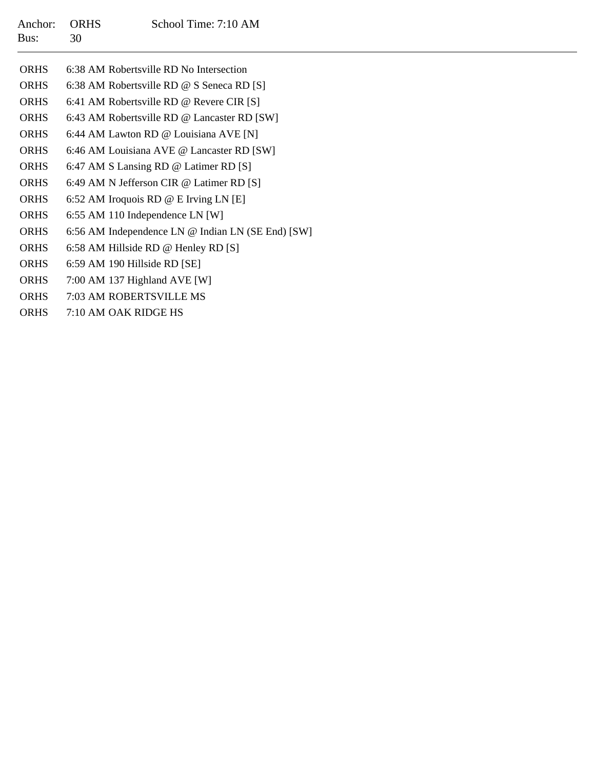| Anchor:<br>Bus: | <b>ORHS</b><br>30 | School Time: 7:10 AM                              |
|-----------------|-------------------|---------------------------------------------------|
| <b>ORHS</b>     |                   | 6:38 AM Robertsville RD No Intersection           |
| <b>ORHS</b>     |                   | 6:38 AM Robertsville RD @ S Seneca RD [S]         |
| <b>ORHS</b>     |                   | 6:41 AM Robertsville RD @ Revere CIR $[S]$        |
| <b>ORHS</b>     |                   | 6:43 AM Robertsville RD @ Lancaster RD [SW]       |
| <b>ORHS</b>     |                   | 6:44 AM Lawton RD @ Louisiana AVE [N]             |
| <b>ORHS</b>     |                   | 6:46 AM Louisiana AVE @ Lancaster RD [SW]         |
| <b>ORHS</b>     |                   | 6:47 AM S Lansing RD @ Latimer RD [S]             |
| <b>ORHS</b>     |                   | 6:49 AM N Jefferson CIR @ Latimer RD [S]          |
| <b>ORHS</b>     |                   | 6:52 AM Iroquois RD @ E Irving LN [E]             |
| <b>ORHS</b>     |                   | $6:55$ AM 110 Independence LN [W]                 |
| <b>ORHS</b>     |                   | 6:56 AM Independence LN @ Indian LN (SE End) [SW] |

- ORHS6:58 AM Hillside RD @ Henley RD [S]
- ORHS6:59 AM 190 Hillside RD [SE]
- ORHS7:00 AM 137 Highland AVE [W]
- ORHS7:03 AM ROBERTSVILLE MS
- ORHS7:10 AM OAK RIDGE HS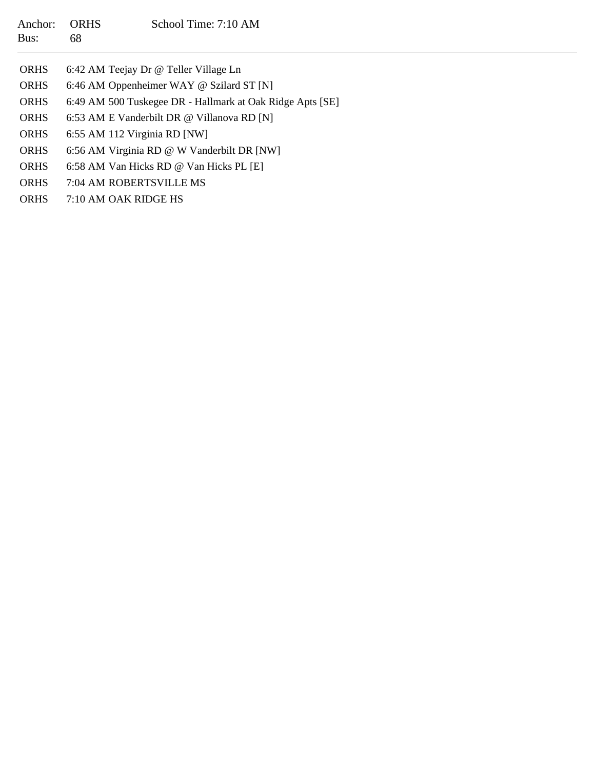| Anchor:<br>Bus: | <b>ORHS</b><br>68                          | School Time: 7:10 AM                                      |  |
|-----------------|--------------------------------------------|-----------------------------------------------------------|--|
| <b>ORHS</b>     |                                            | 6:42 AM Teejay Dr @ Teller Village Ln                     |  |
| <b>ORHS</b>     |                                            | 6:46 AM Oppenheimer WAY @ Szilard ST [N]                  |  |
| <b>ORHS</b>     |                                            | 6:49 AM 500 Tuskegee DR - Hallmark at Oak Ridge Apts [SE] |  |
| <b>ORHS</b>     | 6:53 AM E Vanderbilt DR @ Villanova RD [N] |                                                           |  |
| <b>ORHS</b>     | 6:55 AM 112 Virginia RD [NW]               |                                                           |  |
| <b>ORHS</b>     |                                            | 6:56 AM Virginia RD @ W Vanderbilt DR [NW]                |  |
| <b>ORHS</b>     |                                            | 6:58 AM Van Hicks RD @ Van Hicks PL [E]                   |  |
| <b>ORHS</b>     |                                            | 7:04 AM ROBERTSVILLE MS                                   |  |
| <b>ORHS</b>     |                                            | 7:10 AM OAK RIDGE HS                                      |  |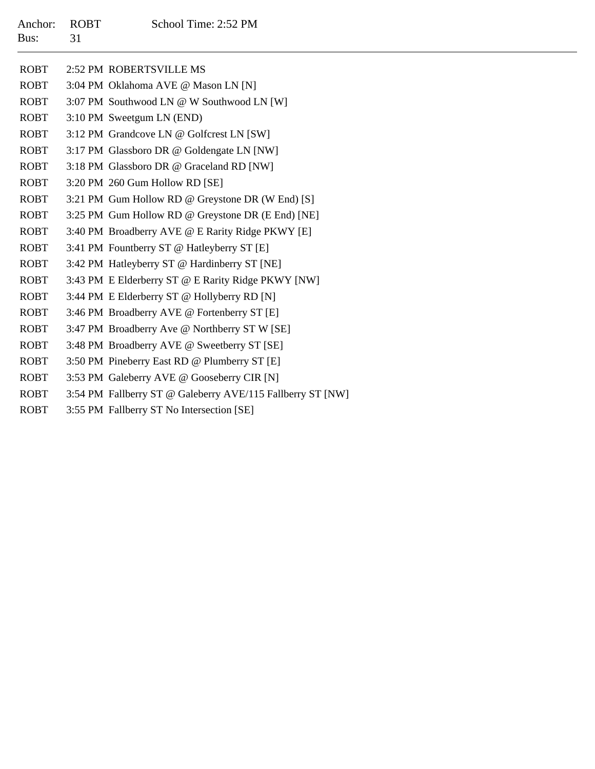| <b>ROBT</b> | 2:52 PM ROBERTSVILLE MS                                    |
|-------------|------------------------------------------------------------|
| <b>ROBT</b> | 3:04 PM Oklahoma AVE @ Mason LN [N]                        |
| <b>ROBT</b> | 3:07 PM Southwood LN @ W Southwood LN [W]                  |
| <b>ROBT</b> | 3:10 PM Sweetgum LN (END)                                  |
| <b>ROBT</b> | 3:12 PM Grandcove LN @ Golfcrest LN [SW]                   |
| <b>ROBT</b> | 3:17 PM Glassboro DR @ Goldengate LN [NW]                  |
| <b>ROBT</b> | 3:18 PM Glassboro DR @ Graceland RD [NW]                   |
| <b>ROBT</b> | 3:20 PM 260 Gum Hollow RD [SE]                             |
| <b>ROBT</b> | 3:21 PM Gum Hollow RD @ Greystone DR (W End) [S]           |
| <b>ROBT</b> | 3:25 PM Gum Hollow RD @ Greystone DR (E End) [NE]          |
| <b>ROBT</b> | 3:40 PM Broadberry AVE @ E Rarity Ridge PKWY [E]           |
| <b>ROBT</b> | 3:41 PM Fountberry ST @ Hatleyberry ST [E]                 |
| <b>ROBT</b> | 3:42 PM Hatleyberry ST @ Hardinberry ST [NE]               |
| <b>ROBT</b> | 3:43 PM E Elderberry ST @ E Rarity Ridge PKWY [NW]         |
| <b>ROBT</b> | 3:44 PM E Elderberry ST @ Hollyberry RD [N]                |
| <b>ROBT</b> | 3:46 PM Broadberry AVE @ Fortenberry ST [E]                |
| <b>ROBT</b> | 3:47 PM Broadberry Ave @ Northberry ST W [SE]              |
| <b>ROBT</b> | 3:48 PM Broadberry AVE @ Sweetberry ST [SE]                |
| <b>ROBT</b> | 3:50 PM Pineberry East RD @ Plumberry ST [E]               |
| <b>ROBT</b> | 3:53 PM Galeberry AVE @ Gooseberry CIR [N]                 |
| <b>ROBT</b> | 3:54 PM Fallberry ST @ Galeberry AVE/115 Fallberry ST [NW] |

ROBT3:55 PM Fallberry ST No Intersection [SE]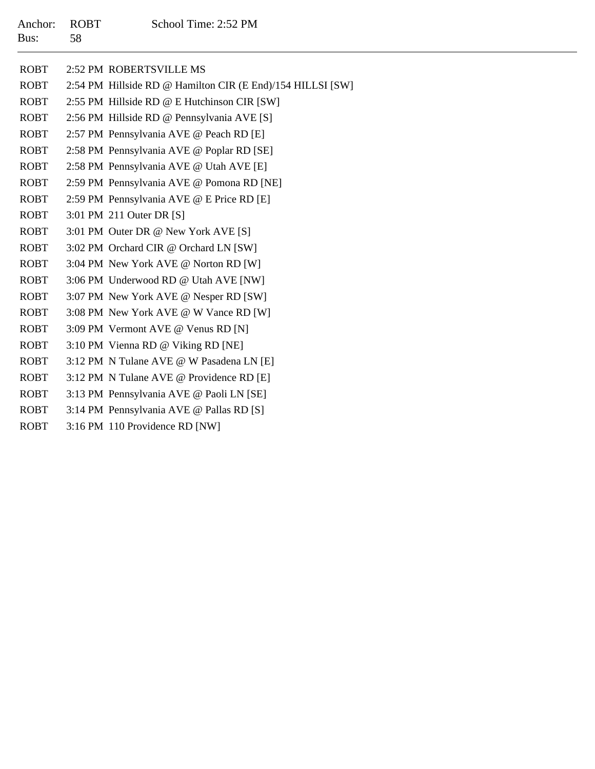| <b>ROBT</b> | 2:52 PM ROBERTSVILLE MS                                    |
|-------------|------------------------------------------------------------|
| <b>ROBT</b> | 2:54 PM Hillside RD @ Hamilton CIR (E End)/154 HILLSI [SW] |
| ROBT        | 2:55 PM Hillside RD @ E Hutchinson CIR [SW]                |
| ROBT        | 2:56 PM Hillside RD @ Pennsylvania AVE [S]                 |
| <b>ROBT</b> | 2:57 PM Pennsylvania AVE @ Peach RD [E]                    |
| <b>ROBT</b> | 2:58 PM Pennsylvania AVE @ Poplar RD [SE]                  |
| <b>ROBT</b> | 2:58 PM Pennsylvania AVE @ Utah AVE [E]                    |
| ROBT        | 2:59 PM Pennsylvania AVE @ Pomona RD [NE]                  |
| <b>ROBT</b> | 2:59 PM Pennsylvania AVE @ E Price RD [E]                  |
| ROBT        | 3:01 PM 211 Outer DR [S]                                   |
| <b>ROBT</b> | 3:01 PM Outer DR @ New York AVE [S]                        |
| <b>ROBT</b> | 3:02 PM Orchard CIR @ Orchard LN [SW]                      |
| <b>ROBT</b> | 3:04 PM New York AVE @ Norton RD [W]                       |
| <b>ROBT</b> | 3:06 PM Underwood RD @ Utah AVE [NW]                       |
| <b>ROBT</b> | 3:07 PM New York AVE @ Nesper RD [SW]                      |
| ROBT        | 3:08 PM New York AVE @ W Vance RD [W]                      |
| <b>ROBT</b> | 3:09 PM Vermont AVE @ Venus RD [N]                         |
| <b>ROBT</b> | 3:10 PM Vienna RD @ Viking RD [NE]                         |
| <b>ROBT</b> | 3:12 PM N Tulane AVE @ W Pasadena LN [E]                   |
| <b>ROBT</b> | 3:12 PM N Tulane AVE @ Providence RD [E]                   |
| ROBT        | 3:13 PM Pennsylvania AVE @ Paoli LN [SE]                   |
| <b>ROBT</b> | 3:14 PM Pennsylvania AVE @ Pallas RD [S]                   |
| <b>ROBT</b> | 3:16 PM 110 Providence RD [NW]                             |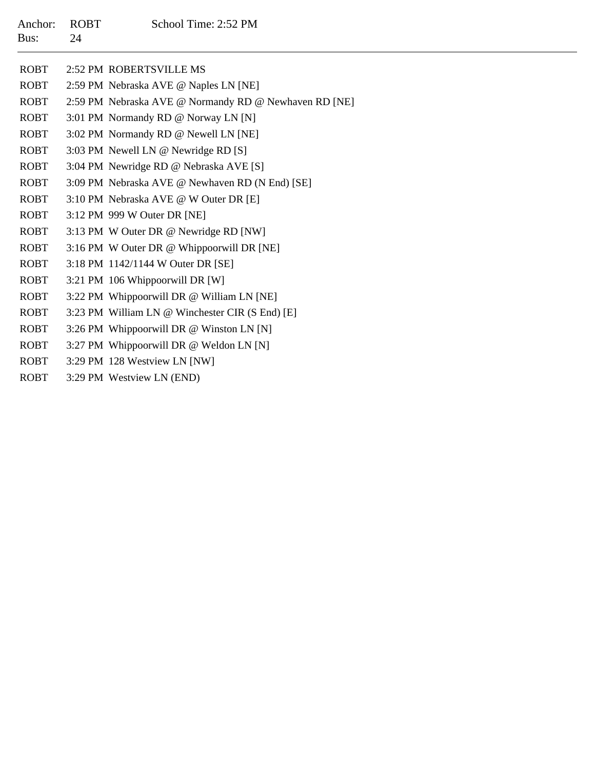| <b>ROBT</b> | 2:52 PM ROBERTSVILLE MS                               |
|-------------|-------------------------------------------------------|
| <b>ROBT</b> | 2:59 PM Nebraska AVE @ Naples LN [NE]                 |
| <b>ROBT</b> | 2:59 PM Nebraska AVE @ Normandy RD @ Newhaven RD [NE] |
| <b>ROBT</b> | 3:01 PM Normandy RD @ Norway LN [N]                   |
| <b>ROBT</b> | 3:02 PM Normandy RD @ Newell LN [NE]                  |
| <b>ROBT</b> | 3:03 PM Newell LN @ Newridge RD [S]                   |
| <b>ROBT</b> | 3:04 PM Newridge RD @ Nebraska AVE [S]                |
| <b>ROBT</b> | 3:09 PM Nebraska AVE @ Newhaven RD (N End) [SE]       |
| <b>ROBT</b> | 3:10 PM Nebraska AVE @ W Outer DR [E]                 |
| <b>ROBT</b> | 3:12 PM 999 W Outer DR [NE]                           |
| <b>ROBT</b> | 3:13 PM W Outer DR @ Newridge RD [NW]                 |
| <b>ROBT</b> | 3:16 PM W Outer DR @ Whippoorwill DR [NE]             |
| <b>ROBT</b> | 3:18 PM 1142/1144 W Outer DR [SE]                     |
| <b>ROBT</b> | 3:21 PM 106 Whippoorwill DR [W]                       |
| <b>ROBT</b> | 3:22 PM Whippoorwill DR @ William LN [NE]             |
| <b>ROBT</b> | 3:23 PM William LN @ Winchester CIR (S End) [E]       |
| <b>ROBT</b> | 3:26 PM Whippoorwill DR @ Winston LN [N]              |

- ROBT3:27 PM Whippoorwill DR @ Weldon LN [N]
- ROBT3:29 PM 128 Westview LN [NW]
- ROBT3:29 PM Westview LN (END)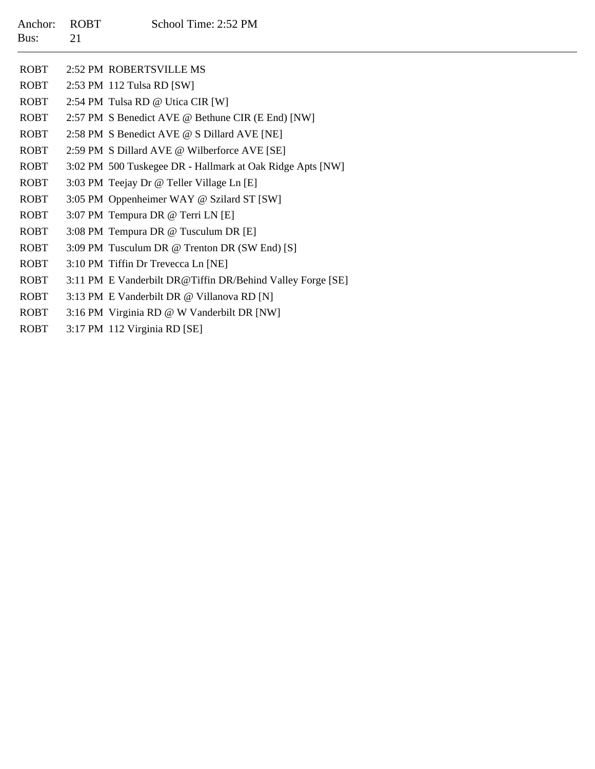| Anchor:<br>Bus: | <b>ROBT</b><br>21 | School Time: 2:52 PM                                       |
|-----------------|-------------------|------------------------------------------------------------|
| <b>ROBT</b>     |                   | 2:52 PM ROBERTSVILLE MS                                    |
| <b>ROBT</b>     |                   | 2:53 PM 112 Tulsa RD [SW]                                  |
| <b>ROBT</b>     |                   | 2:54 PM Tulsa RD @ Utica CIR [W]                           |
| <b>ROBT</b>     |                   | 2:57 PM S Benedict AVE @ Bethune CIR (E End) [NW]          |
| <b>ROBT</b>     |                   | 2:58 PM S Benedict AVE @ S Dillard AVE [NE]                |
| <b>ROBT</b>     |                   | 2:59 PM S Dillard AVE @ Wilberforce AVE [SE]               |
| <b>ROBT</b>     |                   | 3:02 PM 500 Tuskegee DR - Hallmark at Oak Ridge Apts [NW]  |
| <b>ROBT</b>     |                   | 3:03 PM Teejay Dr @ Teller Village Ln [E]                  |
| <b>ROBT</b>     |                   | 3:05 PM Oppenheimer WAY @ Szilard ST [SW]                  |
| <b>ROBT</b>     |                   | 3:07 PM Tempura DR @ Terri LN [E]                          |
| <b>ROBT</b>     |                   | 3:08 PM Tempura DR @ Tusculum DR [E]                       |
| <b>ROBT</b>     |                   | 3:09 PM Tusculum DR @ Trenton DR (SW End) [S]              |
| <b>ROBT</b>     |                   | 3:10 PM Tiffin Dr Trevecca Ln [NE]                         |
| <b>ROBT</b>     |                   | 3:11 PM E Vanderbilt DR@Tiffin DR/Behind Valley Forge [SE] |
| <b>ROBT</b>     |                   | 3:13 PM E Vanderbilt DR @ Villanova RD [N]                 |
| <b>ROBT</b>     |                   | 3:16 PM Virginia RD @ W Vanderbilt DR [NW]                 |

ROBT3:17 PM 112 Virginia RD [SE]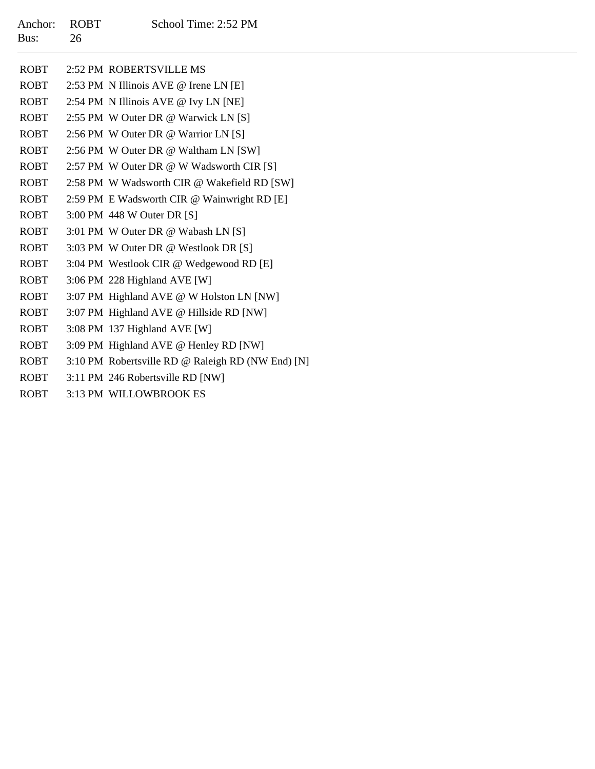| <b>ROBT</b> | 2:52 PM ROBERTSVILLE MS                           |
|-------------|---------------------------------------------------|
| ROBT        | 2:53 PM N Illinois AVE @ Irene LN [E]             |
| ROBT        | 2:54 PM N Illinois AVE @ Ivy LN [NE]              |
| <b>ROBT</b> | 2:55 PM W Outer DR @ Warwick LN [S]               |
| <b>ROBT</b> | 2:56 PM W Outer DR @ Warrior LN [S]               |
| <b>ROBT</b> | 2:56 PM W Outer DR @ Waltham LN [SW]              |
| <b>ROBT</b> | 2:57 PM W Outer DR @ W Wadsworth CIR [S]          |
| ROBT        | 2:58 PM W Wadsworth CIR @ Wakefield RD [SW]       |
| <b>ROBT</b> | 2:59 PM E Wadsworth CIR @ Wainwright RD [E]       |
| ROBT        | 3:00 PM 448 W Outer DR [S]                        |
| ROBT        | 3:01 PM W Outer DR @ Wabash LN [S]                |
| <b>ROBT</b> | 3:03 PM W Outer DR @ Westlook DR [S]              |
| ROBT        | 3:04 PM Westlook CIR @ Wedgewood RD [E]           |
| <b>ROBT</b> | 3:06 PM 228 Highland AVE [W]                      |
| <b>ROBT</b> | 3:07 PM Highland AVE @ W Holston LN [NW]          |
| <b>ROBT</b> | 3:07 PM Highland AVE @ Hillside RD [NW]           |
| ROBT        | 3:08 PM 137 Highland AVE [W]                      |
| ROBT        | 3:09 PM Highland AVE @ Henley RD [NW]             |
| <b>ROBT</b> | 3:10 PM Robertsville RD @ Raleigh RD (NW End) [N] |
| <b>ROBT</b> | 3:11 PM 246 Robertsville RD [NW]                  |
| <b>ROBT</b> | 3:13 PM WILLOWBROOK ES                            |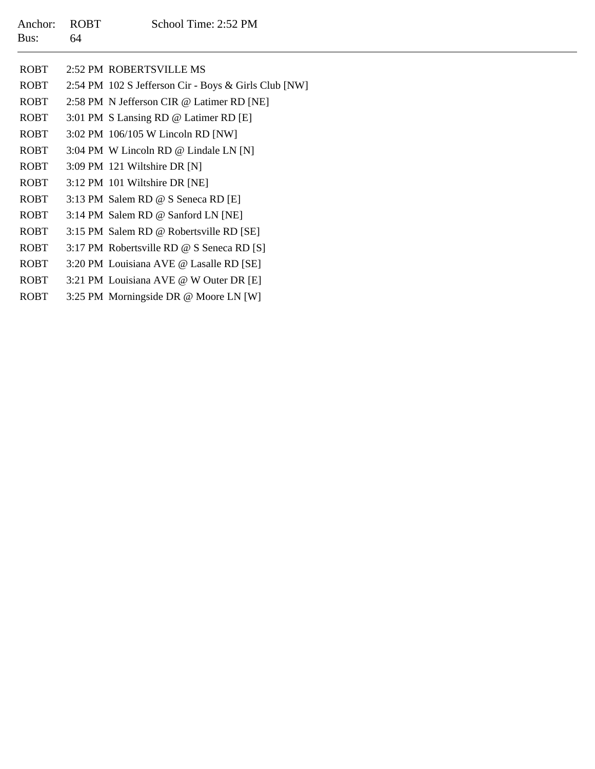64

ROBT 2:52 PM ROBERTSVILLE MS ROBT 2:54 PM 102 S Jefferson Cir - Boys & Girls Club [NW] ROBT 2:58 PM N Jefferson CIR @ Latimer RD [NE] ROBT 3:01 PM S Lansing RD @ Latimer RD [E] ROBT 3:02 PM 106/105 W Lincoln RD [NW] ROBT 3:04 PM W Lincoln RD @ Lindale LN [N] ROBT 3:09 PM 121 Wiltshire DR [N] ROBT 3:12 PM 101 Wiltshire DR [NE] ROBT 3:13 PM Salem RD @ S Seneca RD [E] ROBT 3:14 PM Salem RD @ Sanford LN [NE] ROBT 3:15 PM Salem RD @ Robertsville RD [SE] ROBT 3:17 PM Robertsville RD @ S Seneca RD [S] ROBT 3:20 PM Louisiana AVE @ Lasalle RD [SE] ROBT 3:21 PM Louisiana AVE @ W Outer DR [E] ROBT3:25 PM Morningside DR @ Moore LN [W]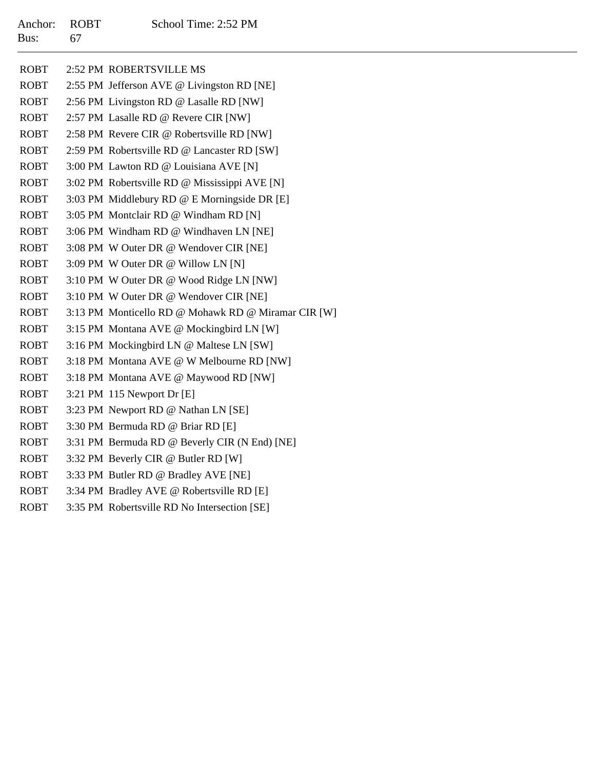| <b>ROBT</b> | 2:52 PM ROBERTSVILLE MS                             |
|-------------|-----------------------------------------------------|
| <b>ROBT</b> | 2:55 PM Jefferson AVE @ Livingston RD [NE]          |
| <b>ROBT</b> | 2:56 PM Livingston RD @ Lasalle RD [NW]             |
| <b>ROBT</b> | 2:57 PM Lasalle RD @ Revere CIR [NW]                |
| <b>ROBT</b> | 2:58 PM Revere CIR @ Robertsville RD [NW]           |
| <b>ROBT</b> | 2:59 PM Robertsville RD @ Lancaster RD [SW]         |
| <b>ROBT</b> | 3:00 PM Lawton RD @ Louisiana AVE [N]               |
| <b>ROBT</b> | 3:02 PM Robertsville RD @ Mississippi AVE [N]       |
| <b>ROBT</b> | 3:03 PM Middlebury RD @ E Morningside DR [E]        |
| <b>ROBT</b> | 3:05 PM Montclair RD @ Windham RD [N]               |
| <b>ROBT</b> | 3:06 PM Windham RD @ Windhaven LN [NE]              |
| <b>ROBT</b> | 3:08 PM W Outer DR @ Wendover CIR [NE]              |
| <b>ROBT</b> | 3:09 PM W Outer DR @ Willow LN [N]                  |
| <b>ROBT</b> | 3:10 PM W Outer DR @ Wood Ridge LN [NW]             |
| <b>ROBT</b> | 3:10 PM W Outer DR @ Wendover CIR [NE]              |
| <b>ROBT</b> | 3:13 PM Monticello RD @ Mohawk RD @ Miramar CIR [W] |
| <b>ROBT</b> | 3:15 PM Montana AVE @ Mockingbird LN [W]            |
| <b>ROBT</b> | 3:16 PM Mockingbird LN @ Maltese LN [SW]            |
| <b>ROBT</b> | 3:18 PM Montana AVE @ W Melbourne RD [NW]           |
| <b>ROBT</b> | 3:18 PM Montana AVE @ Maywood RD [NW]               |
| <b>ROBT</b> | $3:21$ PM 115 Newport Dr [E]                        |
| <b>ROBT</b> | 3:23 PM Newport RD @ Nathan LN [SE]                 |
| <b>ROBT</b> | 3:30 PM Bermuda RD @ Briar RD [E]                   |
| <b>ROBT</b> | 3:31 PM Bermuda RD @ Beverly CIR (N End) [NE]       |
| <b>ROBT</b> | 3:32 PM Beverly CIR @ Butler RD [W]                 |
| <b>ROBT</b> | 3:33 PM Butler RD @ Bradley AVE [NE]                |
| <b>ROBT</b> | 3:34 PM Bradley AVE @ Robertsville RD [E]           |
| <b>ROBT</b> | 3:35 PM Robertsville RD No Intersection [SE]        |